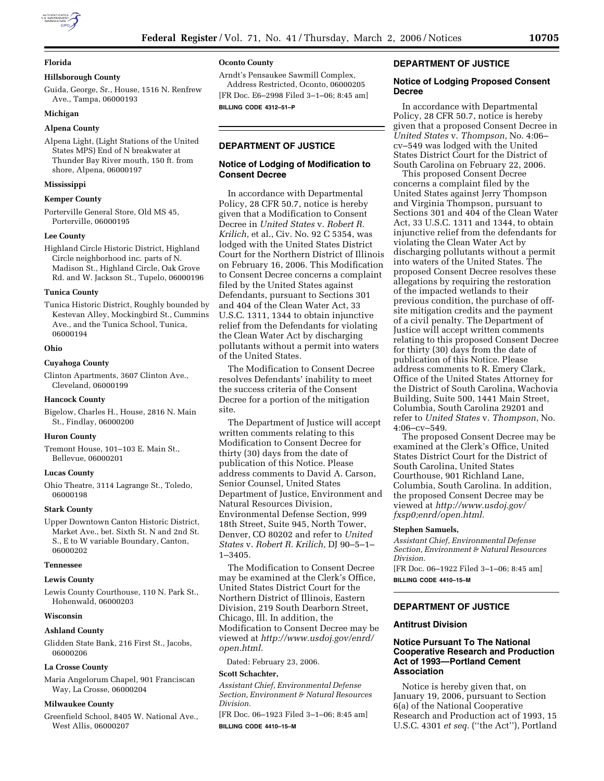## **Florida**

### **Hillsborough County**

Guida, George, Sr., House, 1516 N. Renfrew Ave., Tampa, 06000193

### **Michigan**

## **Alpena County**

Alpena Light, (Light Stations of the United States MPS) End of N breakwater at Thunder Bay River mouth, 150 ft. from shore, Alpena, 06000197

### **Mississippi**

### **Kemper County**

Porterville General Store, Old MS 45, Porterville, 06000195

### **Lee County**

Highland Circle Historic District, Highland Circle neighborhood inc. parts of N. Madison St., Highland Circle, Oak Grove Rd. and W. Jackson St., Tupelo, 06000196

### **Tunica County**

Tunica Historic District, Roughly bounded by Kestevan Alley, Mockingbird St., Cummins Ave., and the Tunica School, Tunica, 06000194

### **Ohio**

## **Cuyahoga County**

Clinton Apartments, 3607 Clinton Ave., Cleveland, 06000199

### **Hancock County**

Bigelow, Charles H., House, 2816 N. Main St., Findlay, 06000200

### **Huron County**

Tremont House, 101–103 E. Main St., Bellevue, 06000201

### **Lucas County**

Ohio Theatre, 3114 Lagrange St., Toledo, 06000198

### **Stark County**

Upper Downtown Canton Historic District, Market Ave., bet. Sixth St. N and 2nd St. S., E to W variable Boundary, Canton, 06000202

## **Tennessee**

### **Lewis County**

Lewis County Courthouse, 110 N. Park St., Hohenwald, 06000203

## **Wisconsin**

#### **Ashland County**

Glidden State Bank, 216 First St., Jacobs, 06000206

### **La Crosse County**

Maria Angelorum Chapel, 901 Franciscan Way, La Crosse, 06000204

### **Milwaukee County**

Greenfield School, 8405 W. National Ave., West Allis, 06000207

# **Oconto County**

Arndt's Pensaukee Sawmill Complex, Address Restricted, Oconto, 06000205 [FR Doc. E6–2998 Filed 3–1–06; 8:45 am]

**BILLING CODE 4312–51–P** 

# **DEPARTMENT OF JUSTICE**

## **Notice of Lodging of Modification to Consent Decree**

In accordance with Departmental Policy, 28 CFR 50.7, notice is hereby given that a Modification to Consent Decree in *United States* v. *Robert R. Krilich,* et al., Civ. No. 92 C 5354, was lodged with the United States District Court for the Northern District of Illinois on February 16, 2006. This Modification to Consent Decree concerns a complaint filed by the United States against Defendants, pursuant to Sections 301 and 404 of the Clean Water Act, 33 U.S.C. 1311, 1344 to obtain injunctive relief from the Defendants for violating the Clean Water Act by discharging pollutants without a permit into waters of the United States.

The Modification to Consent Decree resolves Defendants' inability to meet the success criteria of the Consent Decree for a portion of the mitigation site.

The Department of Justice will accept written comments relating to this Modification to Consent Decree for thirty (30) days from the date of publication of this Notice. Please address comments to David A. Carson, Senior Counsel, United States Department of Justice, Environment and Natural Resources Division, Environmental Defense Section, 999 18th Street, Suite 945, North Tower, Denver, CO 80202 and refer to *United States* v. *Robert R. Krilich,* DJ 90–5–1– 1–3405.

The Modification to Consent Decree may be examined at the Clerk's Office, United States District Court for the Northern District of Illinois, Eastern Division, 219 South Dearborn Street, Chicago, Ill. In addition, the Modification to Consent Decree may be viewed at *http://www.usdoj.gov/enrd/ open.html.* 

Dated: February 23, 2006.

#### **Scott Schachter,**

*Assistant Chief, Environmental Defense Section, Environment & Natural Resources Division.* 

[FR Doc. 06–1923 Filed 3–1–06; 8:45 am] **BILLING CODE 4410–15–M** 

## **DEPARTMENT OF JUSTICE**

## **Notice of Lodging Proposed Consent Decree**

In accordance with Departmental Policy, 28 CFR 50.7, notice is hereby given that a proposed Consent Decree in *United States* v. *Thompson*, No. 4:06– cv–549 was lodged with the United States District Court for the District of South Carolina on February 22, 2006.

This proposed Consent Decree concerns a complaint filed by the United States against Jerry Thompson and Virginia Thompson, pursuant to Sections 301 and 404 of the Clean Water Act, 33 U.S.C. 1311 and 1344, to obtain injunctive relief from the defendants for violating the Clean Water Act by discharging pollutants without a permit into waters of the United States. The proposed Consent Decree resolves these allegations by requiring the restoration of the impacted wetlands to their previous condition, the purchase of offsite mitigation credits and the payment of a civil penalty. The Department of Justice will accept written comments relating to this proposed Consent Decree for thirty (30) days from the date of publication of this Notice. Please address comments to R. Emery Clark, Office of the United States Attorney for the District of South Carolina, Wachovia Building, Suite 500, 1441 Main Street, Columbia, South Carolina 29201 and refer to *United States* v. *Thompson*, No. 4:06–cv–549.

The proposed Consent Decree may be examined at the Clerk's Office, United States District Court for the District of South Carolina, United States Courthouse, 901 Richland Lane, Columbia, South Carolina. In addition, the proposed Consent Decree may be viewed at *http://www.usdoj.gov/ fxsp0;enrd/open.html.* 

## **Stephen Samuels,**

*Assistant Chief, Environmental Defense Section, Environment & Natural Resources Division.* 

[FR Doc. 06–1922 Filed 3–1–06; 8:45 am] **BILLING CODE 4410–15–M** 

# **DEPARTMENT OF JUSTICE**

## **Antitrust Division**

## **Notice Pursuant To The National Cooperative Research and Production Act of 1993—Portland Cement Association**

Notice is hereby given that, on January 19, 2006, pursuant to Section 6(a) of the National Cooperative Research and Production act of 1993, 15 U.S.C. 4301 *et seq.* (''the Act''), Portland